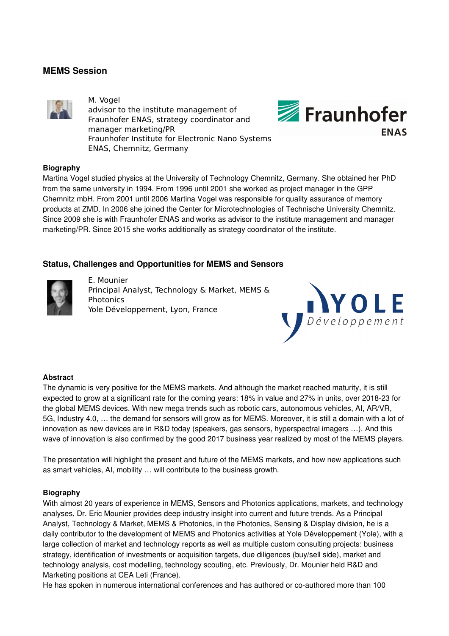## **MEMS Session**



M. Vogel advisor to the institute management of Fraunhofer ENAS, strategy coordinator and manager marketing/PR Fraunhofer Institute for Electronic Nano Systems ENAS, Chemnitz, Germany



### **Biography**

Martina Vogel studied physics at the University of Technology Chemnitz, Germany. She obtained her PhD from the same university in 1994. From 1996 until 2001 she worked as project manager in the GPP Chemnitz mbH. From 2001 until 2006 Martina Vogel was responsible for quality assurance of memory products at ZMD. In 2006 she joined the Center for Microtechnologies of Technische University Chemnitz. Since 2009 she is with Fraunhofer ENAS and works as advisor to the institute management and manager marketing/PR. Since 2015 she works additionally as strategy coordinator of the institute.

## **Status, Challenges and Opportunities for MEMS and Sensors**



E. Mounier Principal Analyst, Technology & Market, MEMS & Photonics Yole Développement, Lyon, France



### **Abstract**

The dynamic is very positive for the MEMS markets. And although the market reached maturity, it is still expected to grow at a significant rate for the coming years: 18% in value and 27% in units, over 2018-23 for the global MEMS devices. With new mega trends such as robotic cars, autonomous vehicles, AI, AR/VR, 5G, Industry 4.0, … the demand for sensors will grow as for MEMS. Moreover, it is still a domain with a lot of innovation as new devices are in R&D today (speakers, gas sensors, hyperspectral imagers …). And this wave of innovation is also confirmed by the good 2017 business year realized by most of the MEMS players.

The presentation will highlight the present and future of the MEMS markets, and how new applications such as smart vehicles, AI, mobility … will contribute to the business growth.

### **Biography**

With almost 20 years of experience in MEMS, Sensors and Photonics applications, markets, and technology analyses, Dr. Eric Mounier provides deep industry insight into current and future trends. As a Principal Analyst, Technology & Market, MEMS & Photonics, in the Photonics, Sensing & Display division, he is a daily contributor to the development of MEMS and Photonics activities at Yole Développement (Yole), with a large collection of market and technology reports as well as multiple custom consulting projects: business strategy, identification of investments or acquisition targets, due diligences (buy/sell side), market and technology analysis, cost modelling, technology scouting, etc. Previously, Dr. Mounier held R&D and Marketing positions at CEA Leti (France).

He has spoken in numerous international conferences and has authored or co-authored more than 100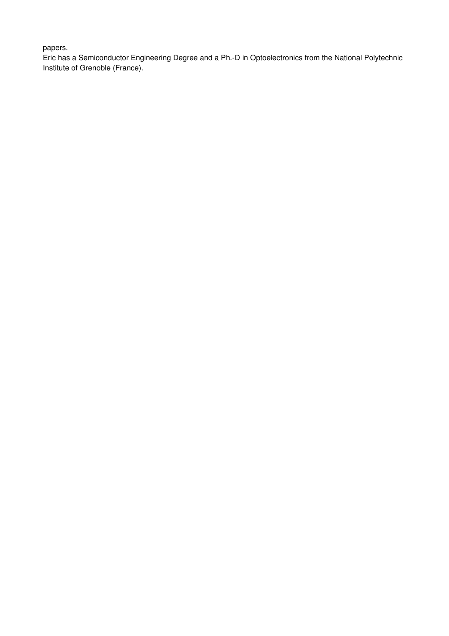## papers.

Eric has a Semiconductor Engineering Degree and a Ph.-D in Optoelectronics from the National Polytechnic Institute of Grenoble (France).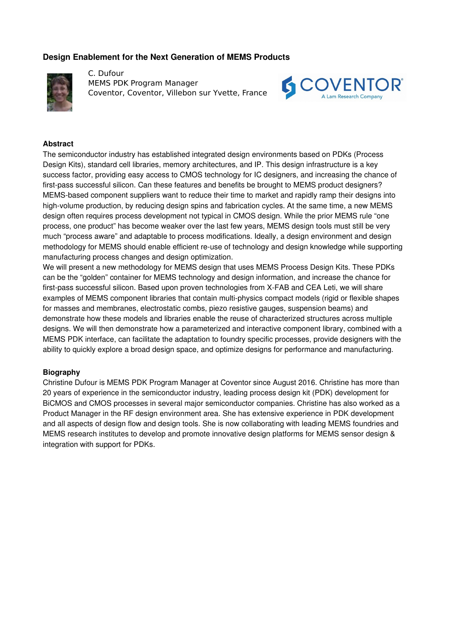### **Design Enablement for the Next Generation of MEMS Products**



C. Dufour MEMS PDK Program Manager Coventor, Coventor, Villebon sur Yvette, France



#### **Abstract**

The semiconductor industry has established integrated design environments based on PDKs (Process Design Kits), standard cell libraries, memory architectures, and IP. This design infrastructure is a key success factor, providing easy access to CMOS technology for IC designers, and increasing the chance of first-pass successful silicon. Can these features and benefits be brought to MEMS product designers? MEMS-based component suppliers want to reduce their time to market and rapidly ramp their designs into high-volume production, by reducing design spins and fabrication cycles. At the same time, a new MEMS design often requires process development not typical in CMOS design. While the prior MEMS rule "one process, one product" has become weaker over the last few years, MEMS design tools must still be very much "process aware" and adaptable to process modifications. Ideally, a design environment and design methodology for MEMS should enable efficient re-use of technology and design knowledge while supporting manufacturing process changes and design optimization.

We will present a new methodology for MEMS design that uses MEMS Process Design Kits. These PDKs can be the "golden" container for MEMS technology and design information, and increase the chance for first-pass successful silicon. Based upon proven technologies from X-FAB and CEA Leti, we will share examples of MEMS component libraries that contain multi-physics compact models (rigid or flexible shapes for masses and membranes, electrostatic combs, piezo resistive gauges, suspension beams) and demonstrate how these models and libraries enable the reuse of characterized structures across multiple designs. We will then demonstrate how a parameterized and interactive component library, combined with a MEMS PDK interface, can facilitate the adaptation to foundry specific processes, provide designers with the ability to quickly explore a broad design space, and optimize designs for performance and manufacturing.

#### **Biography**

Christine Dufour is MEMS PDK Program Manager at Coventor since August 2016. Christine has more than 20 years of experience in the semiconductor industry, leading process design kit (PDK) development for BiCMOS and CMOS processes in several major semiconductor companies. Christine has also worked as a Product Manager in the RF design environment area. She has extensive experience in PDK development and all aspects of design flow and design tools. She is now collaborating with leading MEMS foundries and MEMS research institutes to develop and promote innovative design platforms for MEMS sensor design & integration with support for PDKs.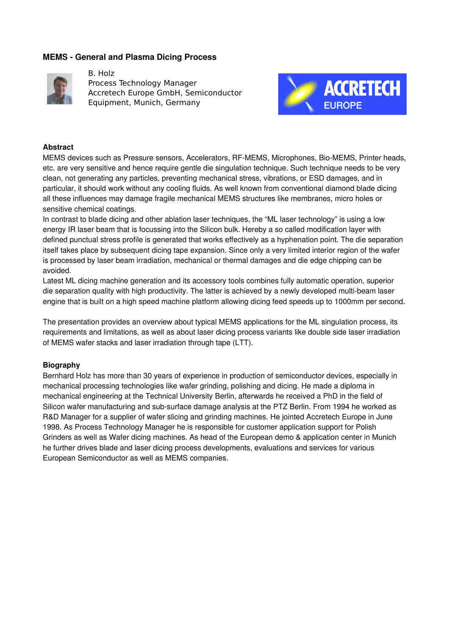### **MEMS General and Plasma Dicing Process**



B. Holz Process Technology Manager Accretech Europe GmbH, Semiconductor Equipment, Munich, Germany



### **Abstract**

MEMS devices such as Pressure sensors, Accelerators, RF-MEMS, Microphones, Bio-MEMS, Printer heads, etc. are very sensitive and hence require gentle die singulation technique. Such technique needs to be very clean, not generating any particles, preventing mechanical stress, vibrations, or ESD damages, and in particular, it should work without any cooling fluids. As well known from conventional diamond blade dicing all these influences may damage fragile mechanical MEMS structures like membranes, micro holes or sensitive chemical coatings.

In contrast to blade dicing and other ablation laser techniques, the "ML laser technology" is using a low energy IR laser beam that is focussing into the Silicon bulk. Hereby a so called modification layer with defined punctual stress profile is generated that works effectively as a hyphenation point. The die separation itself takes place by subsequent dicing tape expansion. Since only a very limited interior region of the wafer is processed by laser beam irradiation, mechanical or thermal damages and die edge chipping can be avoided.

Latest ML dicing machine generation and its accessory tools combines fully automatic operation, superior die separation quality with high productivity. The latter is achieved by a newly developed multi-beam laser engine that is built on a high speed machine platform allowing dicing feed speeds up to 1000mm per second.

The presentation provides an overview about typical MEMS applications for the ML singulation process, its requirements and limitations, as well as about laser dicing process variants like double side laser irradiation of MEMS wafer stacks and laser irradiation through tape (LTT).

### **Biography**

Bernhard Holz has more than 30 years of experience in production of semiconductor devices, especially in mechanical processing technologies like wafer grinding, polishing and dicing. He made a diploma in mechanical engineering at the Technical University Berlin, afterwards he received a PhD in the field of Silicon wafer manufacturing and sub-surface damage analysis at the PTZ Berlin. From 1994 he worked as R&D Manager for a supplier of wafer slicing and grinding machines. He jointed Accretech Europe in June 1998. As Process Technology Manager he is responsible for customer application support for Polish Grinders as well as Wafer dicing machines. As head of the European demo & application center in Munich he further drives blade and laser dicing process developments, evaluations and services for various European Semiconductor as well as MEMS companies.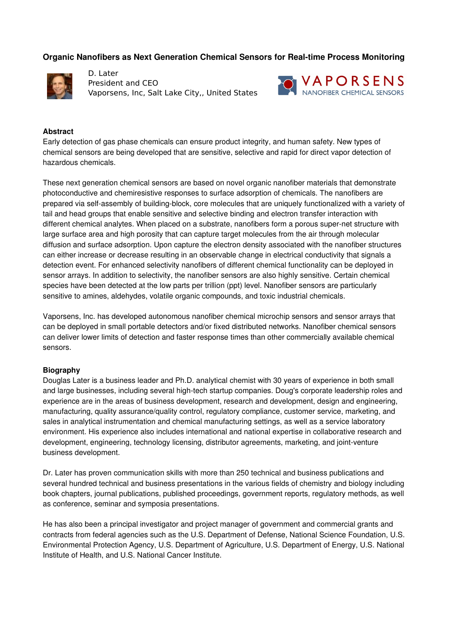## **Organic Nanofibers as Next Generation Chemical Sensors for Real-time Process Monitoring**



D. Later President and CEO Vaporsens, Inc, Salt Lake City,, United States



### **Abstract**

Early detection of gas phase chemicals can ensure product integrity, and human safety. New types of chemical sensors are being developed that are sensitive, selective and rapid for direct vapor detection of hazardous chemicals.

These next generation chemical sensors are based on novel organic nanofiber materials that demonstrate photoconductive and chemiresistive responses to surface adsorption of chemicals. The nanofibers are prepared via self-assembly of building-block, core molecules that are uniquely functionalized with a variety of tail and head groups that enable sensitive and selective binding and electron transfer interaction with different chemical analytes. When placed on a substrate, nanofibers form a porous super-net structure with large surface area and high porosity that can capture target molecules from the air through molecular diffusion and surface adsorption. Upon capture the electron density associated with the nanofiber structures can either increase or decrease resulting in an observable change in electrical conductivity that signals a detection event. For enhanced selectivity nanofibers of different chemical functionality can be deployed in sensor arrays. In addition to selectivity, the nanofiber sensors are also highly sensitive. Certain chemical species have been detected at the low parts per trillion (ppt) level. Nanofiber sensors are particularly sensitive to amines, aldehydes, volatile organic compounds, and toxic industrial chemicals.

Vaporsens, Inc. has developed autonomous nanofiber chemical microchip sensors and sensor arrays that can be deployed in small portable detectors and/or fixed distributed networks. Nanofiber chemical sensors can deliver lower limits of detection and faster response times than other commercially available chemical sensors.

### **Biography**

Douglas Later is a business leader and Ph.D. analytical chemist with 30 years of experience in both small and large businesses, including several high-tech startup companies. Doug's corporate leadership roles and experience are in the areas of business development, research and development, design and engineering, manufacturing, quality assurance/quality control, regulatory compliance, customer service, marketing, and sales in analytical instrumentation and chemical manufacturing settings, as well as a service laboratory environment. His experience also includes international and national expertise in collaborative research and development, engineering, technology licensing, distributor agreements, marketing, and joint-venture business development.

Dr. Later has proven communication skills with more than 250 technical and business publications and several hundred technical and business presentations in the various fields of chemistry and biology including book chapters, journal publications, published proceedings, government reports, regulatory methods, as well as conference, seminar and symposia presentations.

He has also been a principal investigator and project manager of government and commercial grants and contracts from federal agencies such as the U.S. Department of Defense, National Science Foundation, U.S. Environmental Protection Agency, U.S. Department of Agriculture, U.S. Department of Energy, U.S. National Institute of Health, and U.S. National Cancer Institute.